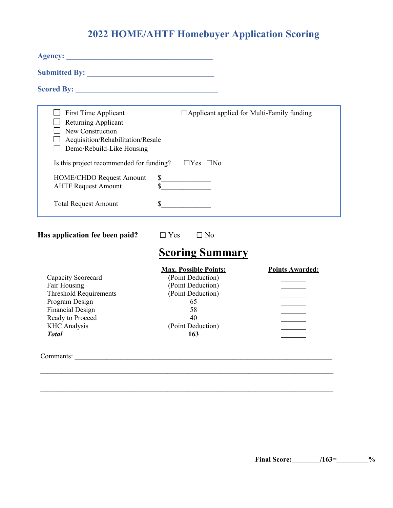## **2022 HOME/AHTF Homebuyer Application Scoring**

| <b>First Time Applicant</b><br>Returning Applicant<br>New Construction<br>Acquisition/Rehabilitation/Resale<br>Demo/Rebuild-Like Housing | $\Box$ Applicant applied for Multi-Family funding |
|------------------------------------------------------------------------------------------------------------------------------------------|---------------------------------------------------|
| Is this project recommended for funding?                                                                                                 | $\Box$ Yes $\Box$ No                              |
| HOME/CHDO Request Amount<br>\$<br><b>AHTF Request Amount</b>                                                                             | $\frac{\text{S}}{\text{S}}$                       |
| <b>Total Request Amount</b>                                                                                                              |                                                   |

**Has application fee been paid?** ☐ Yes☐ No

# **Scoring Summary**

|                               | <b>Max. Possible Points:</b> | <b>Points Awarded:</b> |
|-------------------------------|------------------------------|------------------------|
| Capacity Scorecard            | (Point Deduction)            |                        |
| Fair Housing                  | (Point Deduction)            |                        |
| <b>Threshold Requirements</b> | (Point Deduction)            |                        |
| Program Design                | 65                           |                        |
| Financial Design              | 58                           |                        |
| Ready to Proceed              | 40                           |                        |
| <b>KHC</b> Analysis           | (Point Deduction)            |                        |
| <b>Total</b>                  | 163                          |                        |
| Comments:                     |                              |                        |

\_\_\_\_\_\_\_\_\_\_\_\_\_\_\_\_\_\_\_\_\_\_\_\_\_\_\_\_\_\_\_\_\_\_\_\_\_\_\_\_\_\_\_\_\_\_\_\_\_\_\_\_\_\_\_\_\_\_\_\_\_\_\_\_\_\_\_\_\_\_\_\_\_\_\_\_\_\_\_\_\_\_\_

 $\mathcal{L}_\text{max} = \mathcal{L}_\text{max} = \mathcal{L}_\text{max} = \mathcal{L}_\text{max} = \mathcal{L}_\text{max} = \mathcal{L}_\text{max} = \mathcal{L}_\text{max} = \mathcal{L}_\text{max} = \mathcal{L}_\text{max} = \mathcal{L}_\text{max} = \mathcal{L}_\text{max} = \mathcal{L}_\text{max} = \mathcal{L}_\text{max} = \mathcal{L}_\text{max} = \mathcal{L}_\text{max} = \mathcal{L}_\text{max} = \mathcal{L}_\text{max} = \mathcal{L}_\text{max} = \mathcal{$ 

**Final Score:\_\_\_\_\_\_\_\_/163=\_\_\_\_\_\_\_\_\_%**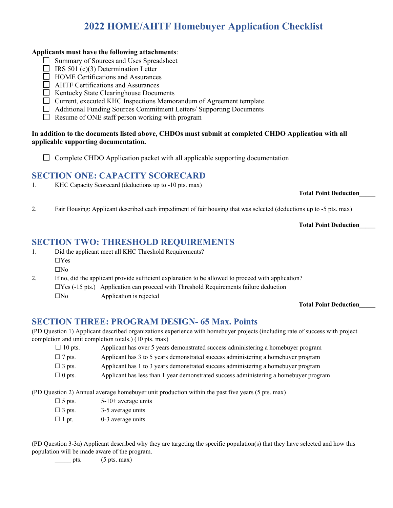## **2022 HOME/AHTF Homebuyer Application Checklist**

#### **Applicants must have the following attachments**:

- Summary of Sources and Uses Spreadsheet
- $\Box$  IRS 501 (c)(3) Determination Letter
- $\Box$  HOME Certifications and Assurances
- **EXTECR** Certifications and Assurances
- $\Box$  Kentucky State Clearinghouse Documents
- $\Box$  Current, executed KHC Inspections Memorandum of Agreement template.
- Additional Funding Sources Commitment Letters/ Supporting Documents
- $\Box$  Resume of ONE staff person working with program

#### **In addition to the documents listed above, CHDOs must submit at completed CHDO Application with all applicable supporting documentation.**

### **SECTION ONE: CAPACITY SCORECARD**

1. KHC Capacity Scorecard (deductions up to -10 pts. max)

**Total Point Deduction\_\_\_\_\_**

2. Fair Housing: Applicant described each impediment of fair housing that was selected (deductions up to -5 pts. max)

**Total Point Deduction\_\_\_\_\_**

### **SECTION TWO: THRESHOLD REQUIREMENTS**

1. Did the applicant meet all KHC Threshold Requirements? ☐Yes  $\Box$ No

2. If no, did the applicant provide sufficient explanation to be allowed to proceed with application?  $\Box$ Yes (-15 pts.) Application can proceed with Threshold Requirements failure deduction  $\square$ No Application is rejected

**Total Point Deduction\_\_\_\_\_**

### **SECTION THREE: PROGRAM DESIGN- 65 Max. Points**

(PD Question 1) Applicant described organizations experience with homebuyer projects (including rate of success with project completion and unit completion totals.) (10 pts. max)

- $\Box$  10 pts. Applicant has over 5 years demonstrated success administering a homebuyer program  $\Box$  7 pts. Applicant has 3 to 5 years demonstrated success administering a homebuyer program  $\square$  3 pts. Applicant has 1 to 3 years demonstrated success administering a homebuyer program
- $\Box$  0 pts. Applicant has less than 1 year demonstrated success administering a homebuyer program

(PD Question 2) Annual average homebuyer unit production within the past five years (5 pts. max)

- $\Box$  5 pts. 5-10+ average units
- $\Box$  3 pts. 3-5 average units
- $\Box$  1 pt. 0-3 average units

(PD Question 3-3a) Applicant described why they are targeting the specific population(s) that they have selected and how this population will be made aware of the program.

pts.  $(5 \text{ pts. max})$ 

 $\Box$  Complete CHDO Application packet with all applicable supporting documentation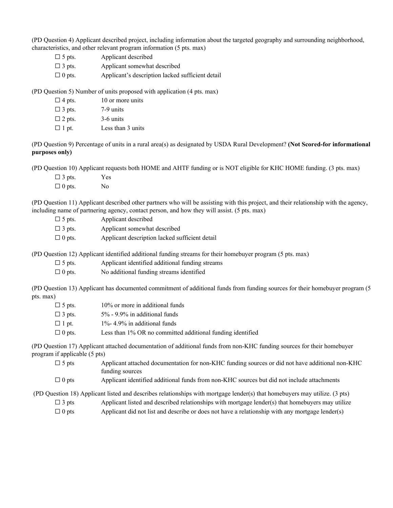(PD Question 4) Applicant described project, including information about the targeted geography and surrounding neighborhood, characteristics, and other relevant program information (5 pts. max)

| $\Box$ 5 pts. | Applicant described                              |
|---------------|--------------------------------------------------|
| $\Box$ 3 pts. | Applicant somewhat described                     |
| $\Box$ 0 pts. | Applicant's description lacked sufficient detail |

(PD Question 5) Number of units proposed with application (4 pts. max)

| $\Box$ 4 pts. | 10 or more units  |
|---------------|-------------------|
| $\Box$ 3 pts. | 7-9 units         |
| $\Box$ 2 pts. | 3-6 units         |
| $\Box$ 1 pt.  | Less than 3 units |

(PD Question 9) Percentage of units in a rural area(s) as designated by USDA Rural Development? **(Not Scored-for informational purposes only)**

(PD Question 10) Applicant requests both HOME and AHTF funding or is NOT eligible for KHC HOME funding. (3 pts. max)

| $\Box$ 3 pts. | Yes |
|---------------|-----|
| $\Box$ 0 pts. | No  |

(PD Question 11) Applicant described other partners who will be assisting with this project, and their relationship with the agency, including name of partnering agency, contact person, and how they will assist. (5 pts. max)

| $\Box$ 5 pts. | Applicant described                            |
|---------------|------------------------------------------------|
| $\Box$ 3 pts. | Applicant somewhat described                   |
| $\Box$ 0 pts. | Applicant description lacked sufficient detail |

(PD Question 12) Applicant identified additional funding streams for their homebuyer program (5 pts. max)

 $\square$  5 pts. Applicant identified additional funding streams

 $\Box$  0 pts. No additional funding streams identified

(PD Question 13) Applicant has documented commitment of additional funds from funding sources for their homebuyer program (5 pts. max)

| $\Box$ 5 pts. | 10% or more in additional funds                            |
|---------------|------------------------------------------------------------|
| $\Box$ 3 pts. | $5\%$ - 9.9% in additional funds                           |
| $\Box$ 1 pt.  | $1\%$ - 4.9% in additional funds                           |
| $\Box$ 0 pts. | Less than 1% OR no committed additional funding identified |

(PD Question 17) Applicant attached documentation of additional funds from non-KHC funding sources for their homebuyer program if applicable (5 pts)

 $\square$  5 pts Applicant attached documentation for non-KHC funding sources or did not have additional non-KHC funding sources

☐ 0 pts Applicant identified additional funds from non-KHC sources but did not include attachments

(PD Question 18) Applicant listed and describes relationships with mortgage lender(s) that homebuyers may utilize. (3 pts)

- $\square$  3 pts Applicant listed and described relationships with mortgage lender(s) that homebuyers may utilize
- $\Box$  0 pts Applicant did not list and describe or does not have a relationship with any mortgage lender(s)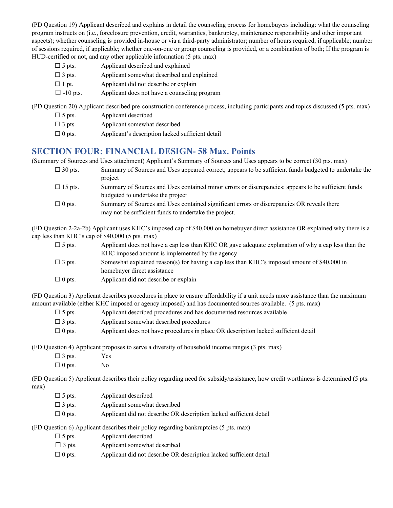(PD Question 19) Applicant described and explains in detail the counseling process for homebuyers including: what the counseling program instructs on (i.e., foreclosure prevention, credit, warranties, bankruptcy, maintenance responsibility and other important aspects); whether counseling is provided in-house or via a third-party administrator; number of hours required, if applicable; number of sessions required, if applicable; whether one-on-one or group counseling is provided, or a combination of both; If the program is HUD-certified or not, and any other applicable information (5 pts. max)

| $\Box$ 5 pts.   | Applicant described and explained            |
|-----------------|----------------------------------------------|
| $\Box$ 3 pts.   | Applicant somewhat described and explained   |
| $\Box$ 1 pt.    | Applicant did not describe or explain        |
| $\Box$ -10 pts. | Applicant does not have a counseling program |

(PD Question 20) Applicant described pre-construction conference process, including participants and topics discussed (5 pts. max)

| $\Box$ 5 pts. | Applicant described                              |
|---------------|--------------------------------------------------|
| $\Box$ 3 pts. | Applicant somewhat described                     |
| $\Box$ 0 pts. | Applicant's description lacked sufficient detail |

### **SECTION FOUR: FINANCIAL DESIGN- 58 Max. Points**

(Summary of Sources and Uses attachment) Applicant's Summary of Sources and Uses appears to be correct (30 pts. max)

| $\Box$ 30 pts. | Summary of Sources and Uses appeared correct; appears to be sufficient funds budgeted to undertake the                                              |
|----------------|-----------------------------------------------------------------------------------------------------------------------------------------------------|
|                | project                                                                                                                                             |
| $\Box$ 15 pts. | Summary of Sources and Uses contained minor errors or discrepancies; appears to be sufficient funds<br>budgeted to undertake the project            |
| $\Box$ 0 pts.  | Summary of Sources and Uses contained significant errors or discrepancies OR reveals there<br>may not be sufficient funds to undertake the project. |

(FD Question 2-2a-2b) Applicant uses KHC's imposed cap of \$40,000 on homebuyer direct assistance OR explained why there is a cap less than KHC's cap of \$40,000 (5 pts. max)

| $\Box$ 5 pts. | Applicant does not have a cap less than KHC OR gave adequate explanation of why a cap less than the<br>KHC imposed amount is implemented by the agency |
|---------------|--------------------------------------------------------------------------------------------------------------------------------------------------------|
| $\Box$ 3 pts. | Somewhat explained reason(s) for having a cap less than KHC's imposed amount of \$40,000 in                                                            |
|               | homebuyer direct assistance                                                                                                                            |
| $\Box$ 0 pts. | Applicant did not describe or explain                                                                                                                  |

(FD Question 3) Applicant describes procedures in place to ensure affordability if a unit needs more assistance than the maximum amount available (either KHC imposed or agency imposed) and has documented sources available. (5 pts. max)

| $\Box$ 5 pts. | Applicant described procedures and has documented resources available               |
|---------------|-------------------------------------------------------------------------------------|
| $\Box$ 3 pts. | Applicant somewhat described procedures                                             |
| $\Box$ 0 pts. | Applicant does not have procedures in place OR description lacked sufficient detail |

(FD Question 4) Applicant proposes to serve a diversity of household income ranges (3 pts. max)

| $\Box$ 3 pts. | Yes |
|---------------|-----|
| $\Box$ 0 pts. | No  |

(FD Question 5) Applicant describes their policy regarding need for subsidy/assistance, how credit worthiness is determined (5 pts. max)

| $\Box$ 5 pts. | Applicant described                                                |
|---------------|--------------------------------------------------------------------|
| $\Box$ 3 pts. | Applicant somewhat described                                       |
| $\Box$ 0 pts. | Applicant did not describe OR description lacked sufficient detail |

(FD Question 6) Applicant describes their policy regarding bankruptcies (5 pts. max)

| $\Box$ 5 pts. | Applicant described |
|---------------|---------------------|
|---------------|---------------------|

- $\Box$  3 pts. Applicant somewhat described
- $\Box$  0 pts. Applicant did not describe OR description lacked sufficient detail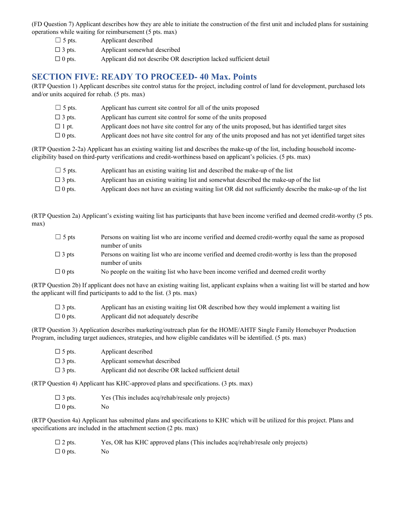(FD Question 7) Applicant describes how they are able to initiate the construction of the first unit and included plans for sustaining operations while waiting for reimbursement (5 pts. max)

| $\Box$ 5 pts. | Applicant described                                                |
|---------------|--------------------------------------------------------------------|
| $\Box$ 3 pts. | Applicant somewhat described                                       |
| $\Box$ 0 pts. | Applicant did not describe OR description lacked sufficient detail |

#### **SECTION FIVE: READY TO PROCEED- 40 Max. Points**

(RTP Question 1) Applicant describes site control status for the project, including control of land for development, purchased lots and/or units acquired for rehab. (5 pts. max)

| $\Box$ 5 pts. | Applicant has current site control for all of the units proposed                                           |
|---------------|------------------------------------------------------------------------------------------------------------|
| $\Box$ 3 pts. | Applicant has current site control for some of the units proposed                                          |
| $\Box$ 1 pt.  | Applicant does not have site control for any of the units proposed, but has identified target sites        |
| $\Box$ 0 pts. | Applicant does not have site control for any of the units proposed and has not yet identified target sites |

(RTP Question 2-2a) Applicant has an existing waiting list and describes the make-up of the list, including household incomeeligibility based on third-party verifications and credit-worthiness based on applicant's policies. (5 pts. max)

| $\Box$ 5 pts. | Applicant has an existing waiting list and described the make-up of the list                              |
|---------------|-----------------------------------------------------------------------------------------------------------|
| $\Box$ 3 pts. | Applicant has an existing waiting list and somewhat described the make-up of the list                     |
| $\Box$ 0 pts. | Applicant does not have an existing waiting list OR did not sufficiently describe the make-up of the list |

(RTP Question 2a) Applicant's existing waiting list has participants that have been income verified and deemed credit-worthy (5 pts. max)

| $\Box$ 5 pts | Persons on waiting list who are income verified and deemed credit-worthy equal the same as proposed |
|--------------|-----------------------------------------------------------------------------------------------------|
|              | number of units                                                                                     |
| $\Box$ 3 pts | Persons on waiting list who are income verified and deemed credit-worthy is less than the proposed  |
|              | number of units                                                                                     |
| $\Box$ 0 pts | No people on the waiting list who have been income verified and deemed credit worthy                |

(RTP Question 2b) If applicant does not have an existing waiting list, applicant explains when a waiting list will be started and how the applicant will find participants to add to the list. (3 pts. max)

| $\Box$ 3 pts. | Applicant has an existing waiting list OR described how they would implement a waiting list |
|---------------|---------------------------------------------------------------------------------------------|
| $\Box$ 0 pts. | Applicant did not adequately describe                                                       |

(RTP Question 3) Application describes marketing/outreach plan for the HOME/AHTF Single Family Homebuyer Production Program, including target audiences, strategies, and how eligible candidates will be identified. (5 pts. max)

| $\Box$ 5 pts. | Applicant described                                    |
|---------------|--------------------------------------------------------|
| $\Box$ 3 pts. | Applicant somewhat described                           |
| $\Box$ 3 pts. | Applicant did not describe OR lacked sufficient detail |

(RTP Question 4) Applicant has KHC-approved plans and specifications. (3 pts. max)

| $\Box$ 3 pts. | Yes (This includes acq/rehab/resale only projects) |
|---------------|----------------------------------------------------|
| $\Box$ 0 pts. | No                                                 |

(RTP Question 4a) Applicant has submitted plans and specifications to KHC which will be utilized for this project. Plans and specifications are included in the attachment section (2 pts. max)

| $\Box$ 2 pts. | Yes, OR has KHC approved plans (This includes acq/rehab/resale only projects) |
|---------------|-------------------------------------------------------------------------------|
| $\Box$ 0 pts. | No.                                                                           |